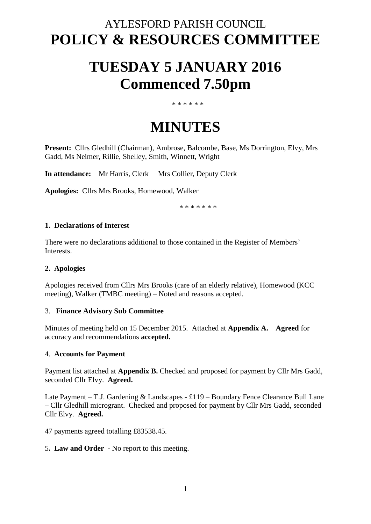## AYLESFORD PARISH COUNCIL **POLICY & RESOURCES COMMITTEE**

# **TUESDAY 5 JANUARY 2016 Commenced 7.50pm**

#### \* \* \* \* \* \*

# **MINUTES**

**Present:** Cllrs Gledhill (Chairman), Ambrose, Balcombe, Base, Ms Dorrington, Elvy, Mrs Gadd, Ms Neimer, Rillie, Shelley, Smith, Winnett, Wright

**In attendance:** Mr Harris, Clerk Mrs Collier, Deputy Clerk

**Apologies:** Cllrs Mrs Brooks, Homewood, Walker

\* \* \* \* \* \* \*

#### **1. Declarations of Interest**

There were no declarations additional to those contained in the Register of Members' Interests.

#### **2. Apologies**

Apologies received from Cllrs Mrs Brooks (care of an elderly relative), Homewood (KCC meeting), Walker (TMBC meeting) – Noted and reasons accepted.

#### 3. **Finance Advisory Sub Committee**

Minutes of meeting held on 15 December 2015. Attached at **Appendix A. Agreed** for accuracy and recommendations **accepted.**

#### 4. **Accounts for Payment**

Payment list attached at **Appendix B.** Checked and proposed for payment by Cllr Mrs Gadd, seconded Cllr Elvy. **Agreed.**

Late Payment – T.J. Gardening & Landscapes - £119 – Boundary Fence Clearance Bull Lane – Cllr Gledhill microgrant. Checked and proposed for payment by Cllr Mrs Gadd, seconded Cllr Elvy. **Agreed.** 

47 payments agreed totalling £83538.45.

#### 5**. Law and Order -** No report to this meeting.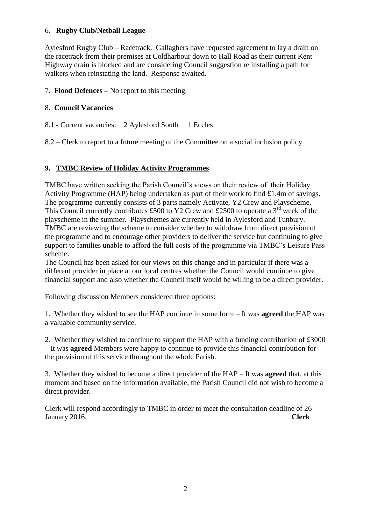### 6. **Rugby Club/Netball League**

Aylesford Rugby Club – Racetrack. Gallaghers have requested agreement to lay a drain on the racetrack from their premises at Coldharbour down to Hall Road as their current Kent Highway drain is blocked and are considering Council suggestion re installing a path for walkers when reinstating the land. Response awaited.

## 7. **Flood Defences –** No report to this meeting.

## 8**. Council Vacancies**

8.1 - Current vacancies: 2 Aylesford South 1 Eccles

8.2 – Clerk to report to a future meeting of the Committee on a social inclusion policy

## **9. TMBC Review of Holiday Activity Programmes**

TMBC have written seeking the Parish Council's views on their review of their Holiday Activity Programme (HAP) being undertaken as part of their work to find £1.4m of savings. The programme currently consists of 3 parts namely Activate, Y2 Crew and Playscheme. This Council currently contributes £500 to Y2 Crew and £2500 to operate a  $3<sup>rd</sup>$  week of the playscheme in the summer. Playschemes are currently held in Aylesford and Tunbury. TMBC are reviewing the scheme to consider whether to withdraw from direct provision of the programme and to encourage other providers to deliver the service but continuing to give support to families unable to afford the full costs of the programme via TMBC's Leisure Pass scheme.

The Council has been asked for our views on this change and in particular if there was a different provider in place at our local centres whether the Council would continue to give financial support and also whether the Council itself would be willing to be a direct provider.

Following discussion Members considered three options:

1. Whether they wished to see the HAP continue in some form – It was **agreed** the HAP was a valuable community service.

2. Whether they wished to continue to support the HAP with a funding contribution of £3000 – It was **agreed** Members were happy to continue to provide this financial contribution for the provision of this service throughout the whole Parish.

3. Whether they wished to become a direct provider of the HAP – It was **agreed** that, at this moment and based on the information available, the Parish Council did not wish to become a direct provider.

Clerk will respond accordingly to TMBC in order to meet the consultation deadline of 26 January 2016. **Clerk**